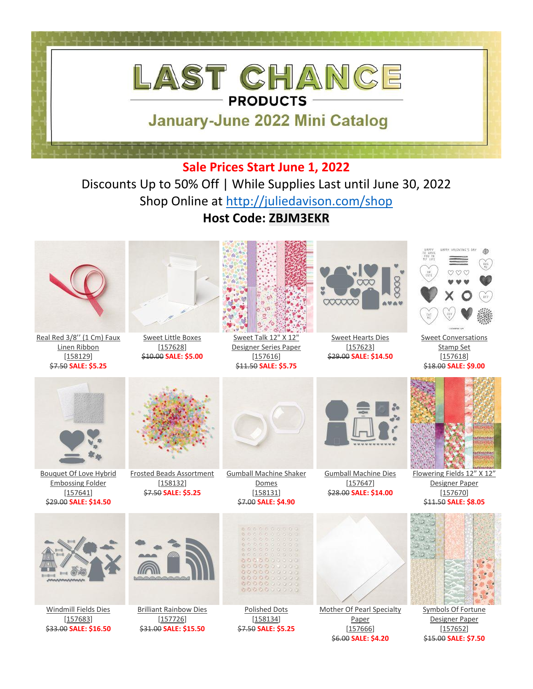

Discounts Up to 50% Off | While Supplies Last until June 30, 2022 Shop Online at [http://juliedavison.com/shop](https://www.stampinup.com/?hostcode=ZBJM3EKR) **Host Code: ZBJM3EKR**



\$6.00 **SALE: \$4.20**

\$15.00 **SALE: \$7.50**

\$33.00 **SALE: \$16.50**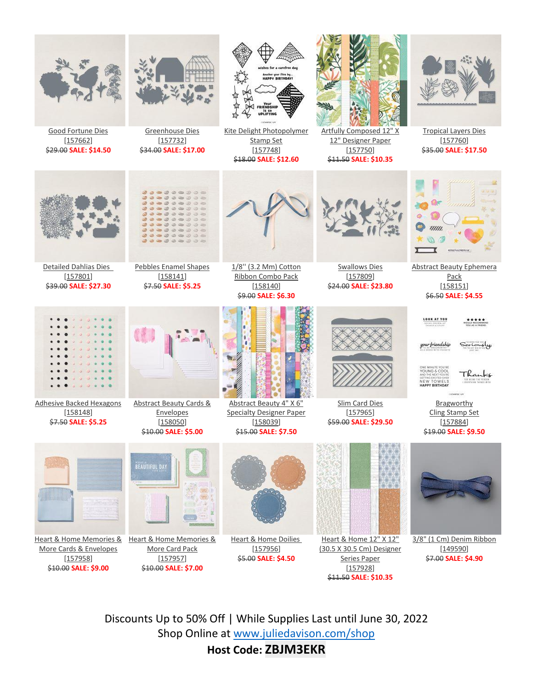

Discounts Up to 50% Off | While Supplies Last until June 30, 2022 Shop Online at [www.juliedavison.com/shop](http://www.juliedavison.com/shop)

**Host Code: ZBJM3EKR**